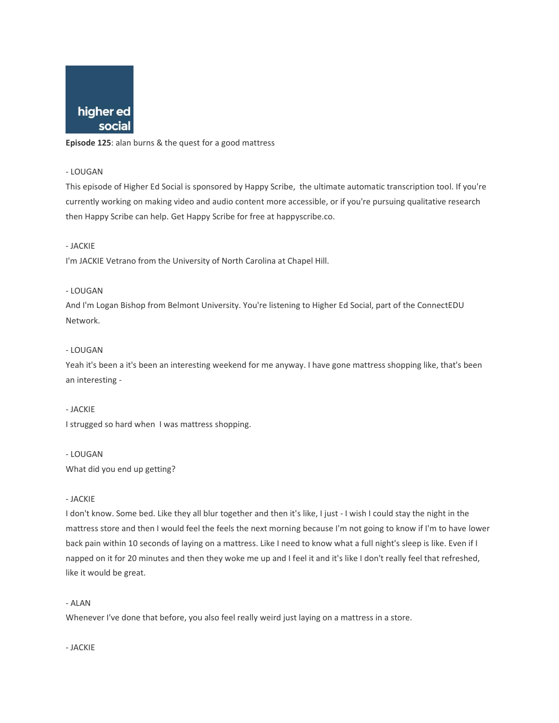

**Episode 125**: alan burns & the quest for a good mattress

### - LOUGAN

This episode of Higher Ed Social is sponsored by Happy Scribe, the ultimate automatic transcription tool. If you're currently working on making video and audio content more accessible, or if you're pursuing qualitative research then Happy Scribe can help. Get Happy Scribe for free at happyscribe.co.

## - JACKIE

I'm JACKIE Vetrano from the University of North Carolina at Chapel Hill.

## - LOUGAN

And I'm Logan Bishop from Belmont University. You're listening to Higher Ed Social, part of the ConnectEDU Network.

## - LOUGAN

Yeah it's been a it's been an interesting weekend for me anyway. I have gone mattress shopping like, that's been an interesting -

### - JACKIE

I strugged so hard when I was mattress shopping.

### - LOUGAN

What did you end up getting?

### - JACKIE

I don't know. Some bed. Like they all blur together and then it's like, I just - I wish I could stay the night in the mattress store and then I would feel the feels the next morning because I'm not going to know if I'm to have lower back pain within 10 seconds of laying on a mattress. Like I need to know what a full night's sleep is like. Even if I napped on it for 20 minutes and then they woke me up and I feel it and it's like I don't really feel that refreshed, like it would be great.

## - ALAN

Whenever I've done that before, you also feel really weird just laying on a mattress in a store.

- JACKIE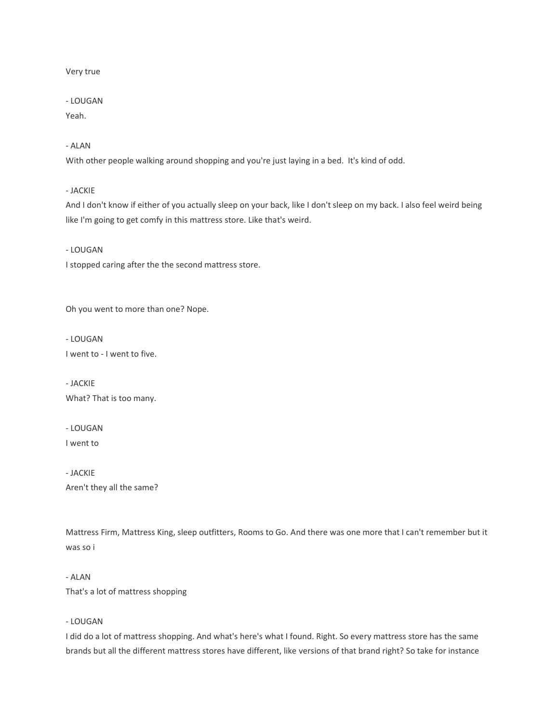### Very true

## - LOUGAN

Yeah.

- ALAN

With other people walking around shopping and you're just laying in a bed. It's kind of odd.

- JACKIE

And I don't know if either of you actually sleep on your back, like I don't sleep on my back. I also feel weird being like I'm going to get comfy in this mattress store. Like that's weird.

- LOUGAN

I stopped caring after the the second mattress store.

Oh you went to more than one? Nope.

- LOUGAN I went to - I went to five.

- JACKIE What? That is too many.

- LOUGAN

I went to

- JACKIE Aren't they all the same?

Mattress Firm, Mattress King, sleep outfitters, Rooms to Go. And there was one more that I can't remember but it was so i

- ALAN That's a lot of mattress shopping

## - LOUGAN

I did do a lot of mattress shopping. And what's here's what I found. Right. So every mattress store has the same brands but all the different mattress stores have different, like versions of that brand right? So take for instance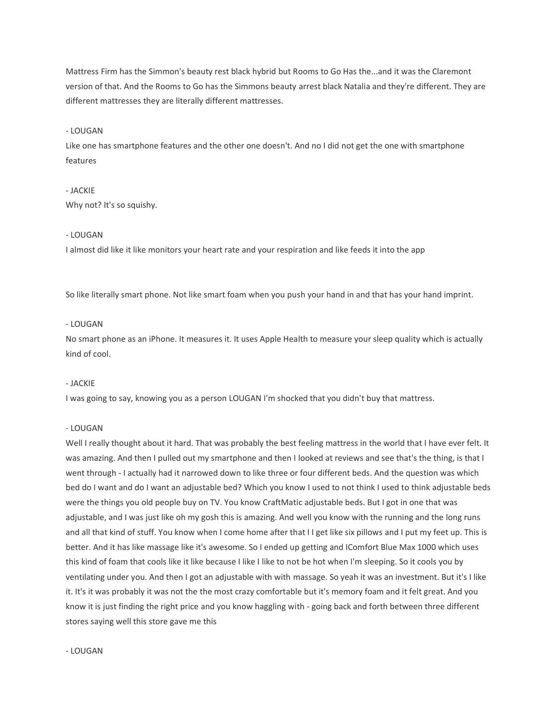Mattress Firm has the Simmon's beauty rest black hybrid but Rooms to Go Has the...and it was the Claremont version of that. And the Rooms to Go has the Simmons beauty arrest black Natalia and they're different. They are different mattresses they are literally different mattresses.

### - LOUGAN

Like one has smartphone features and the other one doesn't. And no I did not get the one with smartphone features

# - JACKIE Why not? It's so squishy.

#### - LOUGAN

I almost did like it like monitors your heart rate and your respiration and like feeds it into the app

So like literally smart phone. Not like smart foam when you push your hand in and that has your hand imprint.

### - LOUGAN

No smart phone as an iPhone. It measures it. It uses Apple Health to measure your sleep quality which is actually kind of cool.

#### - JACKIE

I was going to say, knowing you as a person LOUGAN I'm shocked that you didn't buy that mattress.

#### - LOUGAN

Well I really thought about it hard. That was probably the best feeling mattress in the world that I have ever felt. It was amazing. And then I pulled out my smartphone and then I looked at reviews and see that's the thing, is that I went through - I actually had it narrowed down to like three or four different beds. And the question was which bed do I want and do I want an adjustable bed? Which you know I used to not think I used to think adjustable beds were the things you old people buy on TV. You know CraftMatic adjustable beds. But I got in one that was adjustable, and I was just like oh my gosh this is amazing. And well you know with the running and the long runs and all that kind of stuff. You know when I come home after that I I get like six pillows and I put my feet up. This is better. And it has like massage like it's awesome. So I ended up getting and IComfort Blue Max 1000 which uses this kind of foam that cools like it like because I like I like to not be hot when I'm sleeping. So it cools you by ventilating under you. And then I got an adjustable with with massage. So yeah it was an investment. But it's I like it. It's it was probably it was not the the most crazy comfortable but it's memory foam and it felt great. And you know it is just finding the right price and you know haggling with - going back and forth between three different stores saying well this store gave me this

### - LOUGAN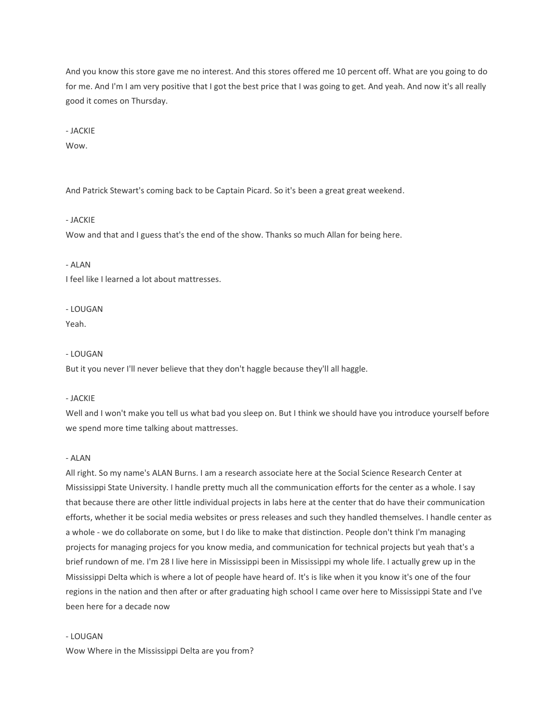And you know this store gave me no interest. And this stores offered me 10 percent off. What are you going to do for me. And I'm I am very positive that I got the best price that I was going to get. And yeah. And now it's all really good it comes on Thursday.

- JACKIE

Wow.

And Patrick Stewart's coming back to be Captain Picard. So it's been a great great weekend.

## - JACKIE

Wow and that and I guess that's the end of the show. Thanks so much Allan for being here.

### - ALAN

I feel like I learned a lot about mattresses.

#### - LOUGAN

Yeah.

#### - LOUGAN

But it you never I'll never believe that they don't haggle because they'll all haggle.

### - JACKIE

Well and I won't make you tell us what bad you sleep on. But I think we should have you introduce yourself before we spend more time talking about mattresses.

#### - ALAN

All right. So my name's ALAN Burns. I am a research associate here at the Social Science Research Center at Mississippi State University. I handle pretty much all the communication efforts for the center as a whole. I say that because there are other little individual projects in labs here at the center that do have their communication efforts, whether it be social media websites or press releases and such they handled themselves. I handle center as a whole - we do collaborate on some, but I do like to make that distinction. People don't think I'm managing projects for managing projecs for you know media, and communication for technical projects but yeah that's a brief rundown of me. I'm 28 I live here in Mississippi been in Mississippi my whole life. I actually grew up in the Mississippi Delta which is where a lot of people have heard of. It's is like when it you know it's one of the four regions in the nation and then after or after graduating high school I came over here to Mississippi State and I've been here for a decade now

### - LOUGAN

Wow Where in the Mississippi Delta are you from?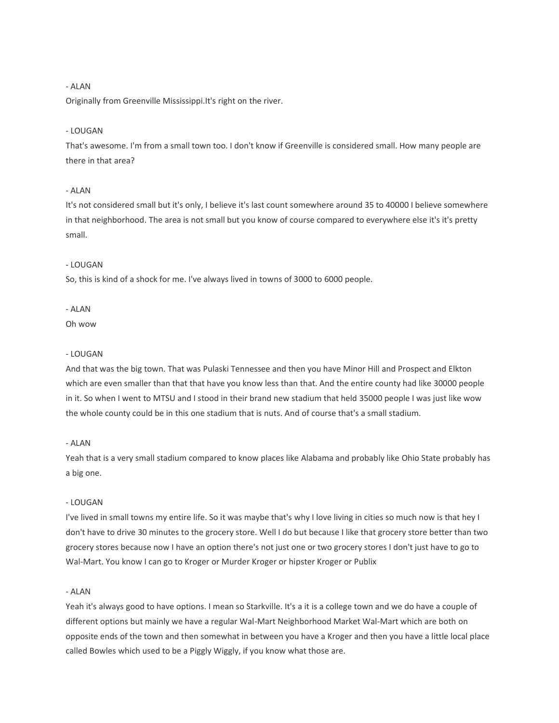Originally from Greenville Mississippi.It's right on the river.

## - LOUGAN

That's awesome. I'm from a small town too. I don't know if Greenville is considered small. How many people are there in that area?

## - ALAN

It's not considered small but it's only, I believe it's last count somewhere around 35 to 40000 I believe somewhere in that neighborhood. The area is not small but you know of course compared to everywhere else it's it's pretty small.

#### - LOUGAN

So, this is kind of a shock for me. I've always lived in towns of 3000 to 6000 people.

### - ALAN

### Oh wow

#### - LOUGAN

And that was the big town. That was Pulaski Tennessee and then you have Minor Hill and Prospect and Elkton which are even smaller than that that have you know less than that. And the entire county had like 30000 people in it. So when I went to MTSU and I stood in their brand new stadium that held 35000 people I was just like wow the whole county could be in this one stadium that is nuts. And of course that's a small stadium.

### - ALAN

Yeah that is a very small stadium compared to know places like Alabama and probably like Ohio State probably has a big one.

### - LOUGAN

I've lived in small towns my entire life. So it was maybe that's why I love living in cities so much now is that hey I don't have to drive 30 minutes to the grocery store. Well I do but because I like that grocery store better than two grocery stores because now I have an option there's not just one or two grocery stores I don't just have to go to Wal-Mart. You know I can go to Kroger or Murder Kroger or hipster Kroger or Publix

#### - ALAN

Yeah it's always good to have options. I mean so Starkville. It's a it is a college town and we do have a couple of different options but mainly we have a regular Wal-Mart Neighborhood Market Wal-Mart which are both on opposite ends of the town and then somewhat in between you have a Kroger and then you have a little local place called Bowles which used to be a Piggly Wiggly, if you know what those are.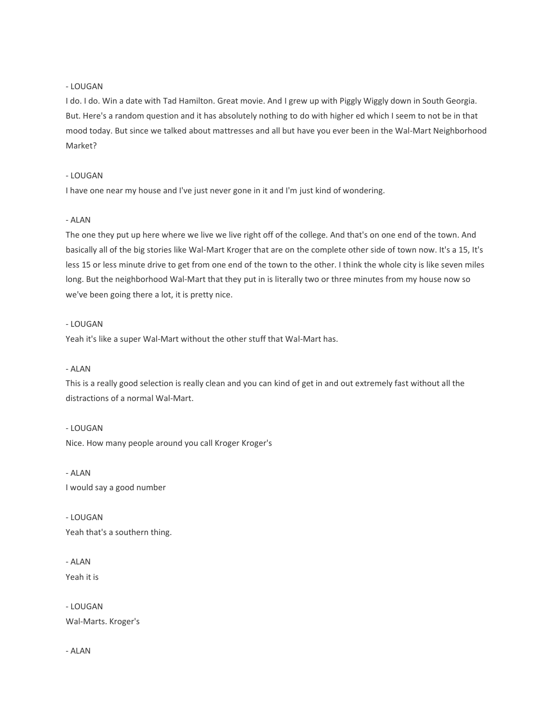## - LOUGAN

I do. I do. Win a date with Tad Hamilton. Great movie. And I grew up with Piggly Wiggly down in South Georgia. But. Here's a random question and it has absolutely nothing to do with higher ed which I seem to not be in that mood today. But since we talked about mattresses and all but have you ever been in the Wal-Mart Neighborhood Market?

### - LOUGAN

I have one near my house and I've just never gone in it and I'm just kind of wondering.

## - ALAN

The one they put up here where we live we live right off of the college. And that's on one end of the town. And basically all of the big stories like Wal-Mart Kroger that are on the complete other side of town now. It's a 15, It's less 15 or less minute drive to get from one end of the town to the other. I think the whole city is like seven miles long. But the neighborhood Wal-Mart that they put in is literally two or three minutes from my house now so we've been going there a lot, it is pretty nice.

### - LOUGAN

Yeah it's like a super Wal-Mart without the other stuff that Wal-Mart has.

#### - ALAN

This is a really good selection is really clean and you can kind of get in and out extremely fast without all the distractions of a normal Wal-Mart.

- LOUGAN Nice. How many people around you call Kroger Kroger's

- ALAN I would say a good number

- LOUGAN Yeah that's a southern thing.

- ALAN Yeah it is

- LOUGAN Wal-Marts. Kroger's

- ALAN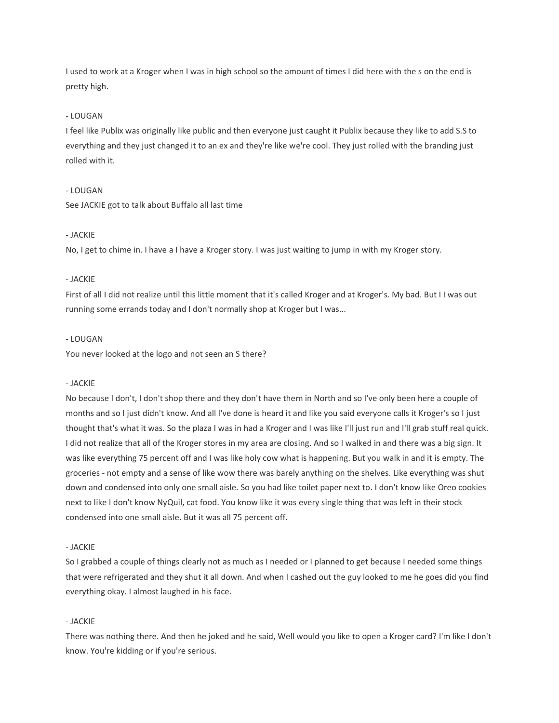I used to work at a Kroger when I was in high school so the amount of times I did here with the s on the end is pretty high.

## - LOUGAN

I feel like Publix was originally like public and then everyone just caught it Publix because they like to add S.S to everything and they just changed it to an ex and they're like we're cool. They just rolled with the branding just rolled with it.

### - LOUGAN

See JACKIE got to talk about Buffalo all last time

### - JACKIE

No, I get to chime in. I have a I have a Kroger story. I was just waiting to jump in with my Kroger story.

### - JACKIE

First of all I did not realize until this little moment that it's called Kroger and at Kroger's. My bad. But I I was out running some errands today and I don't normally shop at Kroger but I was...

### - LOUGAN

You never looked at the logo and not seen an S there?

#### - JACKIE

No because I don't, I don't shop there and they don't have them in North and so I've only been here a couple of months and so I just didn't know. And all I've done is heard it and like you said everyone calls it Kroger's so I just thought that's what it was. So the plaza I was in had a Kroger and I was like I'll just run and I'll grab stuff real quick. I did not realize that all of the Kroger stores in my area are closing. And so I walked in and there was a big sign. It was like everything 75 percent off and I was like holy cow what is happening. But you walk in and it is empty. The groceries - not empty and a sense of like wow there was barely anything on the shelves. Like everything was shut down and condensed into only one small aisle. So you had like toilet paper next to. I don't know like Oreo cookies next to like I don't know NyQuil, cat food. You know like it was every single thing that was left in their stock condensed into one small aisle. But it was all 75 percent off.

#### - JACKIE

So I grabbed a couple of things clearly not as much as I needed or I planned to get because I needed some things that were refrigerated and they shut it all down. And when I cashed out the guy looked to me he goes did you find everything okay. I almost laughed in his face.

#### - JACKIE

There was nothing there. And then he joked and he said, Well would you like to open a Kroger card? I'm like I don't know. You're kidding or if you're serious.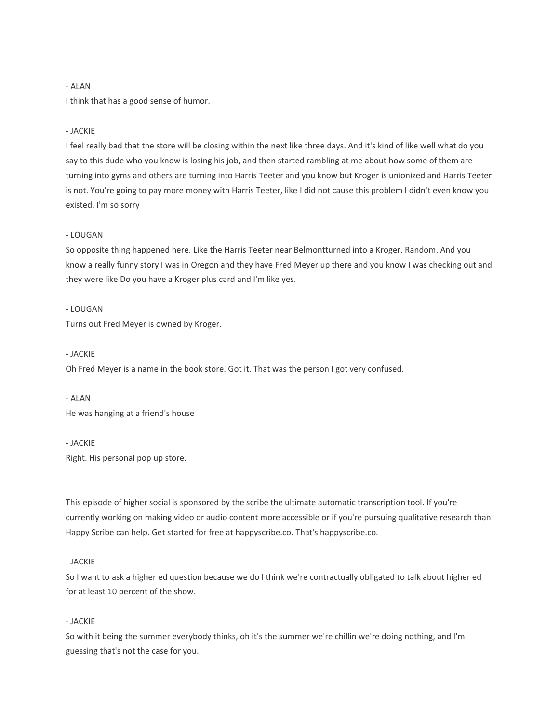I think that has a good sense of humor.

## - JACKIE

I feel really bad that the store will be closing within the next like three days. And it's kind of like well what do you say to this dude who you know is losing his job, and then started rambling at me about how some of them are turning into gyms and others are turning into Harris Teeter and you know but Kroger is unionized and Harris Teeter is not. You're going to pay more money with Harris Teeter, like I did not cause this problem I didn't even know you existed. I'm so sorry

#### - LOUGAN

So opposite thing happened here. Like the Harris Teeter near Belmontturned into a Kroger. Random. And you know a really funny story I was in Oregon and they have Fred Meyer up there and you know I was checking out and they were like Do you have a Kroger plus card and I'm like yes.

### - LOUGAN

Turns out Fred Meyer is owned by Kroger.

#### - JACKIE

Oh Fred Meyer is a name in the book store. Got it. That was the person I got very confused.

- ALAN

He was hanging at a friend's house

#### - JACKIE

Right. His personal pop up store.

This episode of higher social is sponsored by the scribe the ultimate automatic transcription tool. If you're currently working on making video or audio content more accessible or if you're pursuing qualitative research than Happy Scribe can help. Get started for free at happyscribe.co. That's happyscribe.co.

## - JACKIE

So I want to ask a higher ed question because we do I think we're contractually obligated to talk about higher ed for at least 10 percent of the show.

### - JACKIE

So with it being the summer everybody thinks, oh it's the summer we're chillin we're doing nothing, and I'm guessing that's not the case for you.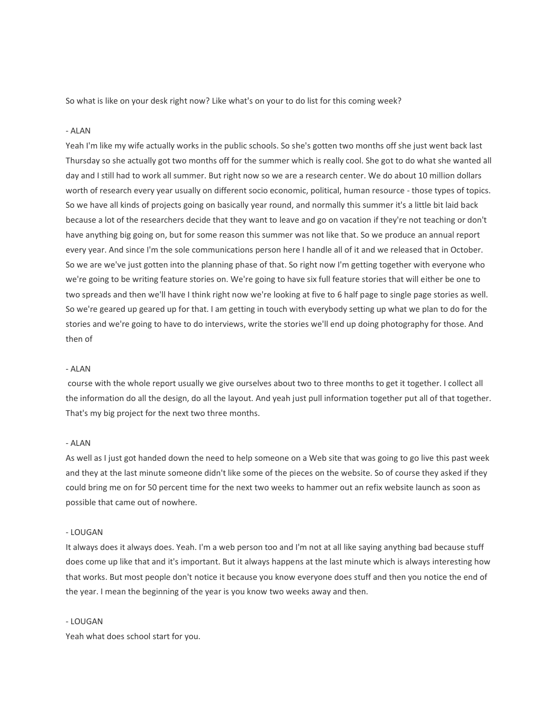So what is like on your desk right now? Like what's on your to do list for this coming week?

## - ALAN

Yeah I'm like my wife actually works in the public schools. So she's gotten two months off she just went back last Thursday so she actually got two months off for the summer which is really cool. She got to do what she wanted all day and I still had to work all summer. But right now so we are a research center. We do about 10 million dollars worth of research every year usually on different socio economic, political, human resource - those types of topics. So we have all kinds of projects going on basically year round, and normally this summer it's a little bit laid back because a lot of the researchers decide that they want to leave and go on vacation if they're not teaching or don't have anything big going on, but for some reason this summer was not like that. So we produce an annual report every year. And since I'm the sole communications person here I handle all of it and we released that in October. So we are we've just gotten into the planning phase of that. So right now I'm getting together with everyone who we're going to be writing feature stories on. We're going to have six full feature stories that will either be one to two spreads and then we'll have I think right now we're looking at five to 6 half page to single page stories as well. So we're geared up geared up for that. I am getting in touch with everybody setting up what we plan to do for the stories and we're going to have to do interviews, write the stories we'll end up doing photography for those. And then of

#### - ALAN

course with the whole report usually we give ourselves about two to three months to get it together. I collect all the information do all the design, do all the layout. And yeah just pull information together put all of that together. That's my big project for the next two three months.

#### - ALAN

As well as I just got handed down the need to help someone on a Web site that was going to go live this past week and they at the last minute someone didn't like some of the pieces on the website. So of course they asked if they could bring me on for 50 percent time for the next two weeks to hammer out an refix website launch as soon as possible that came out of nowhere.

#### - LOUGAN

It always does it always does. Yeah. I'm a web person too and I'm not at all like saying anything bad because stuff does come up like that and it's important. But it always happens at the last minute which is always interesting how that works. But most people don't notice it because you know everyone does stuff and then you notice the end of the year. I mean the beginning of the year is you know two weeks away and then.

#### - LOUGAN

Yeah what does school start for you.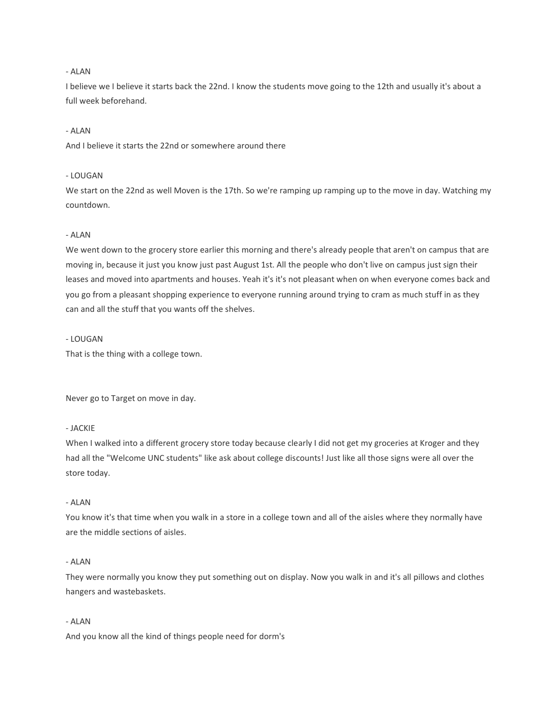I believe we I believe it starts back the 22nd. I know the students move going to the 12th and usually it's about a full week beforehand.

## - ALAN

And I believe it starts the 22nd or somewhere around there

### - LOUGAN

We start on the 22nd as well Moven is the 17th. So we're ramping up ramping up to the move in day. Watching my countdown.

## - ALAN

We went down to the grocery store earlier this morning and there's already people that aren't on campus that are moving in, because it just you know just past August 1st. All the people who don't live on campus just sign their leases and moved into apartments and houses. Yeah it's it's not pleasant when on when everyone comes back and you go from a pleasant shopping experience to everyone running around trying to cram as much stuff in as they can and all the stuff that you wants off the shelves.

## - LOUGAN

That is the thing with a college town.

Never go to Target on move in day.

## - JACKIE

When I walked into a different grocery store today because clearly I did not get my groceries at Kroger and they had all the "Welcome UNC students" like ask about college discounts! Just like all those signs were all over the store today.

## - ALAN

You know it's that time when you walk in a store in a college town and all of the aisles where they normally have are the middle sections of aisles.

## - ALAN

They were normally you know they put something out on display. Now you walk in and it's all pillows and clothes hangers and wastebaskets.

## - ALAN

And you know all the kind of things people need for dorm's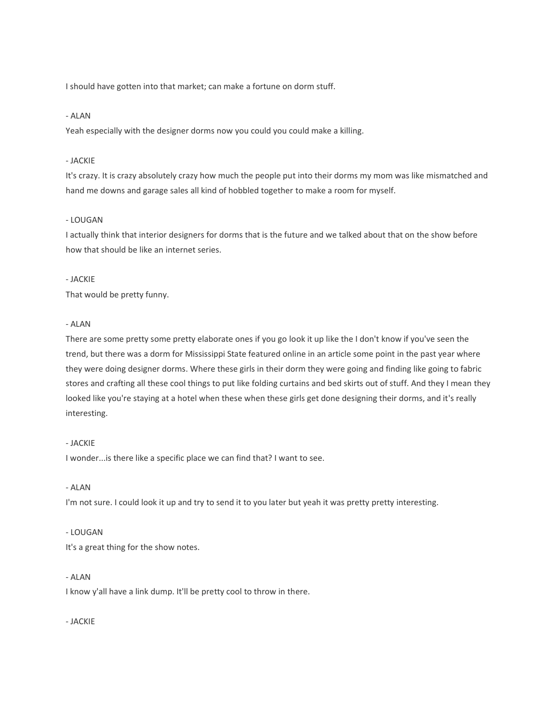I should have gotten into that market; can make a fortune on dorm stuff.

## - ALAN

Yeah especially with the designer dorms now you could you could make a killing.

## - JACKIE

It's crazy. It is crazy absolutely crazy how much the people put into their dorms my mom was like mismatched and hand me downs and garage sales all kind of hobbled together to make a room for myself.

## - LOUGAN

I actually think that interior designers for dorms that is the future and we talked about that on the show before how that should be like an internet series.

### - JACKIE

That would be pretty funny.

## - ALAN

There are some pretty some pretty elaborate ones if you go look it up like the I don't know if you've seen the trend, but there was a dorm for Mississippi State featured online in an article some point in the past year where they were doing designer dorms. Where these girls in their dorm they were going and finding like going to fabric stores and crafting all these cool things to put like folding curtains and bed skirts out of stuff. And they I mean they looked like you're staying at a hotel when these when these girls get done designing their dorms, and it's really interesting.

### - JACKIE

I wonder...is there like a specific place we can find that? I want to see.

### - ALAN

I'm not sure. I could look it up and try to send it to you later but yeah it was pretty pretty interesting.

### - LOUGAN

It's a great thing for the show notes.

## - ALAN

I know y'all have a link dump. It'll be pretty cool to throw in there.

- JACKIE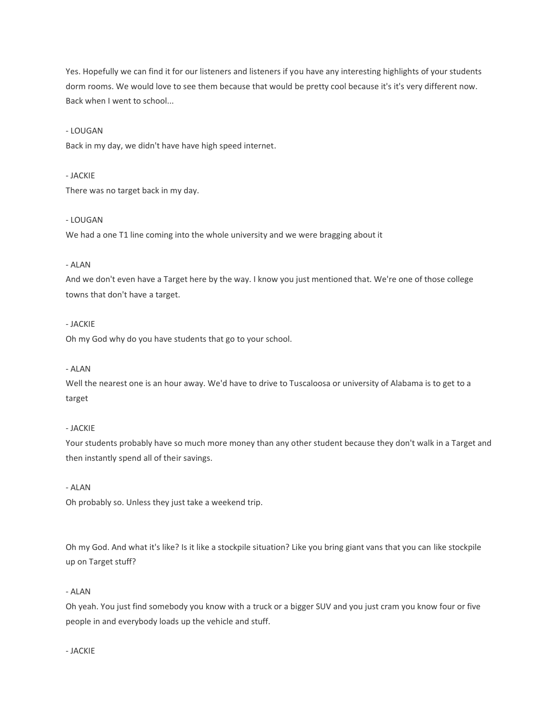Yes. Hopefully we can find it for our listeners and listeners if you have any interesting highlights of your students dorm rooms. We would love to see them because that would be pretty cool because it's it's very different now. Back when I went to school...

## - LOUGAN

Back in my day, we didn't have have high speed internet.

### - JACKIE

There was no target back in my day.

## - LOUGAN

We had a one T1 line coming into the whole university and we were bragging about it

## - ALAN

And we don't even have a Target here by the way. I know you just mentioned that. We're one of those college towns that don't have a target.

## - JACKIE

Oh my God why do you have students that go to your school.

## - ALAN

Well the nearest one is an hour away. We'd have to drive to Tuscaloosa or university of Alabama is to get to a target

## - JACKIE

Your students probably have so much more money than any other student because they don't walk in a Target and then instantly spend all of their savings.

## - ALAN

Oh probably so. Unless they just take a weekend trip.

Oh my God. And what it's like? Is it like a stockpile situation? Like you bring giant vans that you can like stockpile up on Target stuff?

### - ALAN

Oh yeah. You just find somebody you know with a truck or a bigger SUV and you just cram you know four or five people in and everybody loads up the vehicle and stuff.

### - JACKIE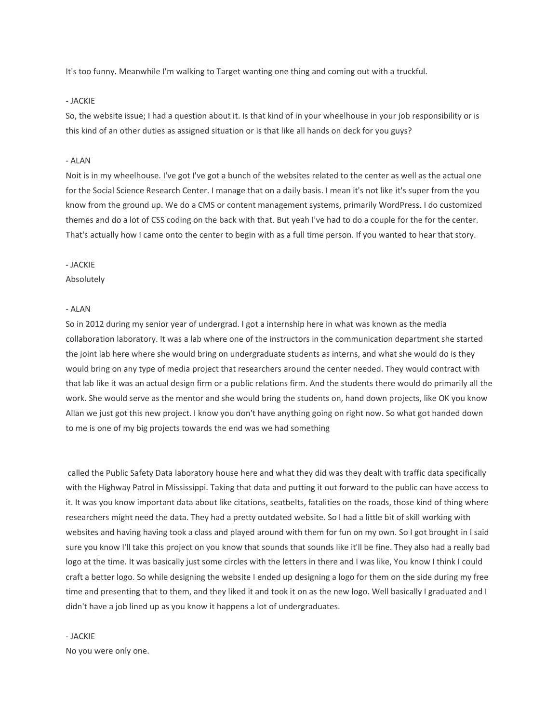It's too funny. Meanwhile I'm walking to Target wanting one thing and coming out with a truckful.

#### - JACKIE

So, the website issue; I had a question about it. Is that kind of in your wheelhouse in your job responsibility or is this kind of an other duties as assigned situation or is that like all hands on deck for you guys?

## - ALAN

Noit is in my wheelhouse. I've got I've got a bunch of the websites related to the center as well as the actual one for the Social Science Research Center. I manage that on a daily basis. I mean it's not like it's super from the you know from the ground up. We do a CMS or content management systems, primarily WordPress. I do customized themes and do a lot of CSS coding on the back with that. But yeah I've had to do a couple for the for the center. That's actually how I came onto the center to begin with as a full time person. If you wanted to hear that story.

#### - JACKIE

#### Absolutely

#### - ALAN

So in 2012 during my senior year of undergrad. I got a internship here in what was known as the media collaboration laboratory. It was a lab where one of the instructors in the communication department she started the joint lab here where she would bring on undergraduate students as interns, and what she would do is they would bring on any type of media project that researchers around the center needed. They would contract with that lab like it was an actual design firm or a public relations firm. And the students there would do primarily all the work. She would serve as the mentor and she would bring the students on, hand down projects, like OK you know Allan we just got this new project. I know you don't have anything going on right now. So what got handed down to me is one of my big projects towards the end was we had something

called the Public Safety Data laboratory house here and what they did was they dealt with traffic data specifically with the Highway Patrol in Mississippi. Taking that data and putting it out forward to the public can have access to it. It was you know important data about like citations, seatbelts, fatalities on the roads, those kind of thing where researchers might need the data. They had a pretty outdated website. So I had a little bit of skill working with websites and having having took a class and played around with them for fun on my own. So I got brought in I said sure you know I'll take this project on you know that sounds that sounds like it'll be fine. They also had a really bad logo at the time. It was basically just some circles with the letters in there and I was like, You know I think I could craft a better logo. So while designing the website I ended up designing a logo for them on the side during my free time and presenting that to them, and they liked it and took it on as the new logo. Well basically I graduated and I didn't have a job lined up as you know it happens a lot of undergraduates.

# - JACKIE

No you were only one.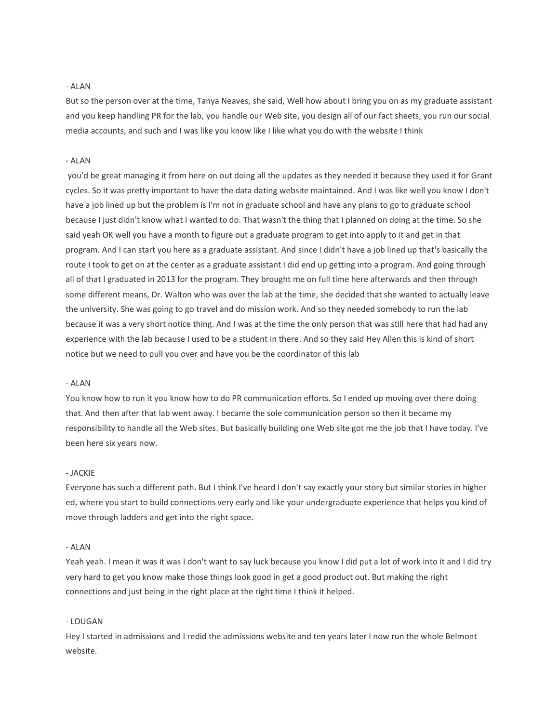But so the person over at the time, Tanya Neaves, she said, Well how about I bring you on as my graduate assistant and you keep handling PR for the lab, you handle our Web site, you design all of our fact sheets, you run our social media accounts, and such and I was like you know like I like what you do with the website I think

### - ALAN

you'd be great managing it from here on out doing all the updates as they needed it because they used it for Grant cycles. So it was pretty important to have the data dating website maintained. And I was like well you know I don't have a job lined up but the problem is I'm not in graduate school and have any plans to go to graduate school because I just didn't know what I wanted to do. That wasn't the thing that I planned on doing at the time. So she said yeah OK well you have a month to figure out a graduate program to get into apply to it and get in that program. And I can start you here as a graduate assistant. And since I didn't have a job lined up that's basically the route I took to get on at the center as a graduate assistant I did end up getting into a program. And going through all of that I graduated in 2013 for the program. They brought me on full time here afterwards and then through some different means, Dr. Walton who was over the lab at the time, she decided that she wanted to actually leave the university. She was going to go travel and do mission work. And so they needed somebody to run the lab because it was a very short notice thing. And I was at the time the only person that was still here that had had any experience with the lab because I used to be a student in there. And so they said Hey Allen this is kind of short notice but we need to pull you over and have you be the coordinator of this lab

#### - ALAN

You know how to run it you know how to do PR communication efforts. So I ended up moving over there doing that. And then after that lab went away. I became the sole communication person so then it became my responsibility to handle all the Web sites. But basically building one Web site got me the job that I have today. I've been here six years now.

#### - JACKIE

Everyone has such a different path. But I think I've heard I don't say exactly your story but similar stories in higher ed, where you start to build connections very early and like your undergraduate experience that helps you kind of move through ladders and get into the right space.

### - ALAN

Yeah yeah. I mean it was it was I don't want to say luck because you know I did put a lot of work into it and I did try very hard to get you know make those things look good in get a good product out. But making the right connections and just being in the right place at the right time I think it helped.

#### - LOUGAN

Hey I started in admissions and I redid the admissions website and ten years later I now run the whole Belmont website.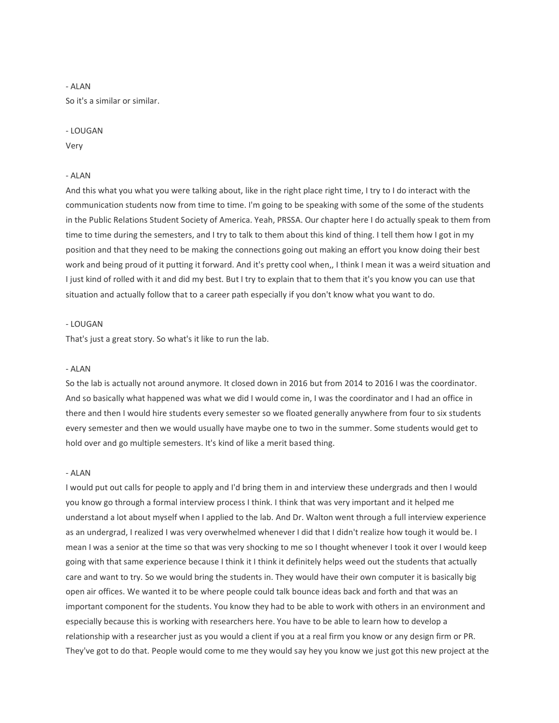So it's a similar or similar.

### - LOUGAN

Very

#### - ALAN

And this what you what you were talking about, like in the right place right time, I try to I do interact with the communication students now from time to time. I'm going to be speaking with some of the some of the students in the Public Relations Student Society of America. Yeah, PRSSA. Our chapter here I do actually speak to them from time to time during the semesters, and I try to talk to them about this kind of thing. I tell them how I got in my position and that they need to be making the connections going out making an effort you know doing their best work and being proud of it putting it forward. And it's pretty cool when,, I think I mean it was a weird situation and I just kind of rolled with it and did my best. But I try to explain that to them that it's you know you can use that situation and actually follow that to a career path especially if you don't know what you want to do.

## - LOUGAN

That's just a great story. So what's it like to run the lab.

#### - ALAN

So the lab is actually not around anymore. It closed down in 2016 but from 2014 to 2016 I was the coordinator. And so basically what happened was what we did I would come in, I was the coordinator and I had an office in there and then I would hire students every semester so we floated generally anywhere from four to six students every semester and then we would usually have maybe one to two in the summer. Some students would get to hold over and go multiple semesters. It's kind of like a merit based thing.

#### - ALAN

I would put out calls for people to apply and I'd bring them in and interview these undergrads and then I would you know go through a formal interview process I think. I think that was very important and it helped me understand a lot about myself when I applied to the lab. And Dr. Walton went through a full interview experience as an undergrad, I realized I was very overwhelmed whenever I did that I didn't realize how tough it would be. I mean I was a senior at the time so that was very shocking to me so I thought whenever I took it over I would keep going with that same experience because I think it I think it definitely helps weed out the students that actually care and want to try. So we would bring the students in. They would have their own computer it is basically big open air offices. We wanted it to be where people could talk bounce ideas back and forth and that was an important component for the students. You know they had to be able to work with others in an environment and especially because this is working with researchers here. You have to be able to learn how to develop a relationship with a researcher just as you would a client if you at a real firm you know or any design firm or PR. They've got to do that. People would come to me they would say hey you know we just got this new project at the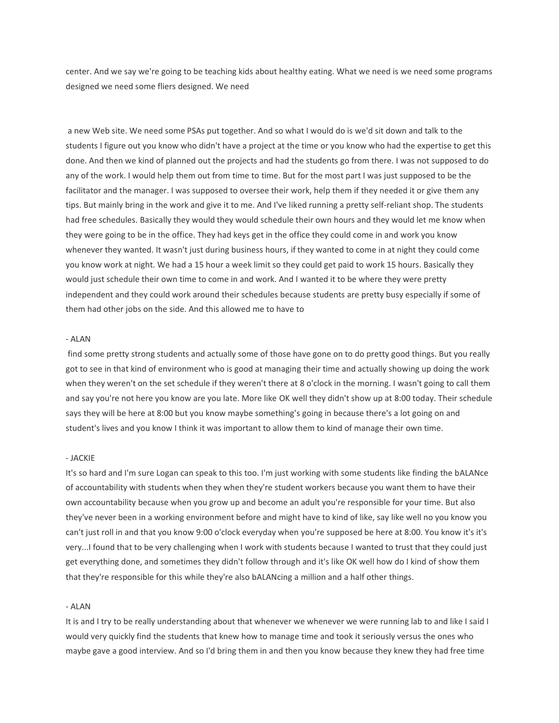center. And we say we're going to be teaching kids about healthy eating. What we need is we need some programs designed we need some fliers designed. We need

a new Web site. We need some PSAs put together. And so what I would do is we'd sit down and talk to the students I figure out you know who didn't have a project at the time or you know who had the expertise to get this done. And then we kind of planned out the projects and had the students go from there. I was not supposed to do any of the work. I would help them out from time to time. But for the most part I was just supposed to be the facilitator and the manager. I was supposed to oversee their work, help them if they needed it or give them any tips. But mainly bring in the work and give it to me. And I've liked running a pretty self-reliant shop. The students had free schedules. Basically they would they would schedule their own hours and they would let me know when they were going to be in the office. They had keys get in the office they could come in and work you know whenever they wanted. It wasn't just during business hours, if they wanted to come in at night they could come you know work at night. We had a 15 hour a week limit so they could get paid to work 15 hours. Basically they would just schedule their own time to come in and work. And I wanted it to be where they were pretty independent and they could work around their schedules because students are pretty busy especially if some of them had other jobs on the side. And this allowed me to have to

#### - ALAN

find some pretty strong students and actually some of those have gone on to do pretty good things. But you really got to see in that kind of environment who is good at managing their time and actually showing up doing the work when they weren't on the set schedule if they weren't there at 8 o'clock in the morning. I wasn't going to call them and say you're not here you know are you late. More like OK well they didn't show up at 8:00 today. Their schedule says they will be here at 8:00 but you know maybe something's going in because there's a lot going on and student's lives and you know I think it was important to allow them to kind of manage their own time.

#### - JACKIE

It's so hard and I'm sure Logan can speak to this too. I'm just working with some students like finding the bALANce of accountability with students when they when they're student workers because you want them to have their own accountability because when you grow up and become an adult you're responsible for your time. But also they've never been in a working environment before and might have to kind of like, say like well no you know you can't just roll in and that you know 9:00 o'clock everyday when you're supposed be here at 8:00. You know it's it's very...I found that to be very challenging when I work with students because I wanted to trust that they could just get everything done, and sometimes they didn't follow through and it's like OK well how do I kind of show them that they're responsible for this while they're also bALANcing a million and a half other things.

### - ALAN

It is and I try to be really understanding about that whenever we whenever we were running lab to and like I said I would very quickly find the students that knew how to manage time and took it seriously versus the ones who maybe gave a good interview. And so I'd bring them in and then you know because they knew they had free time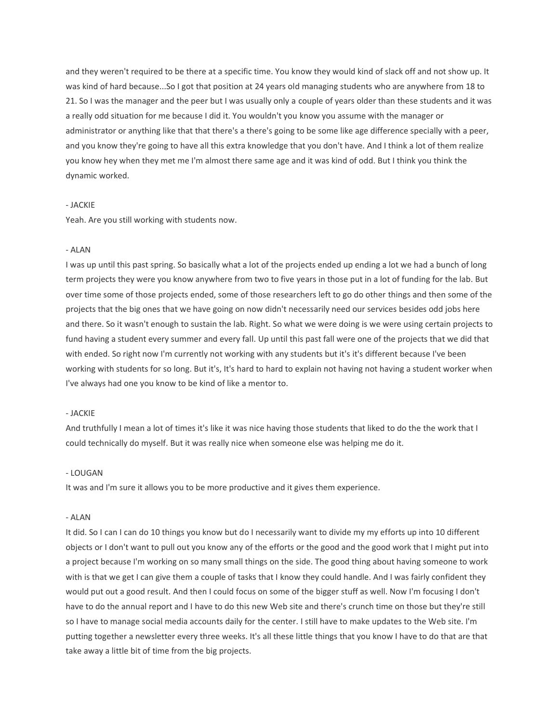and they weren't required to be there at a specific time. You know they would kind of slack off and not show up. It was kind of hard because...So I got that position at 24 years old managing students who are anywhere from 18 to 21. So I was the manager and the peer but I was usually only a couple of years older than these students and it was a really odd situation for me because I did it. You wouldn't you know you assume with the manager or administrator or anything like that that there's a there's going to be some like age difference specially with a peer, and you know they're going to have all this extra knowledge that you don't have. And I think a lot of them realize you know hey when they met me I'm almost there same age and it was kind of odd. But I think you think the dynamic worked.

### - JACKIE

Yeah. Are you still working with students now.

### - ALAN

I was up until this past spring. So basically what a lot of the projects ended up ending a lot we had a bunch of long term projects they were you know anywhere from two to five years in those put in a lot of funding for the lab. But over time some of those projects ended, some of those researchers left to go do other things and then some of the projects that the big ones that we have going on now didn't necessarily need our services besides odd jobs here and there. So it wasn't enough to sustain the lab. Right. So what we were doing is we were using certain projects to fund having a student every summer and every fall. Up until this past fall were one of the projects that we did that with ended. So right now I'm currently not working with any students but it's it's different because I've been working with students for so long. But it's, It's hard to hard to explain not having not having a student worker when I've always had one you know to be kind of like a mentor to.

### - JACKIE

And truthfully I mean a lot of times it's like it was nice having those students that liked to do the the work that I could technically do myself. But it was really nice when someone else was helping me do it.

### - LOUGAN

It was and I'm sure it allows you to be more productive and it gives them experience.

## - ALAN

It did. So I can I can do 10 things you know but do I necessarily want to divide my my efforts up into 10 different objects or I don't want to pull out you know any of the efforts or the good and the good work that I might put into a project because I'm working on so many small things on the side. The good thing about having someone to work with is that we get I can give them a couple of tasks that I know they could handle. And I was fairly confident they would put out a good result. And then I could focus on some of the bigger stuff as well. Now I'm focusing I don't have to do the annual report and I have to do this new Web site and there's crunch time on those but they're still so I have to manage social media accounts daily for the center. I still have to make updates to the Web site. I'm putting together a newsletter every three weeks. It's all these little things that you know I have to do that are that take away a little bit of time from the big projects.